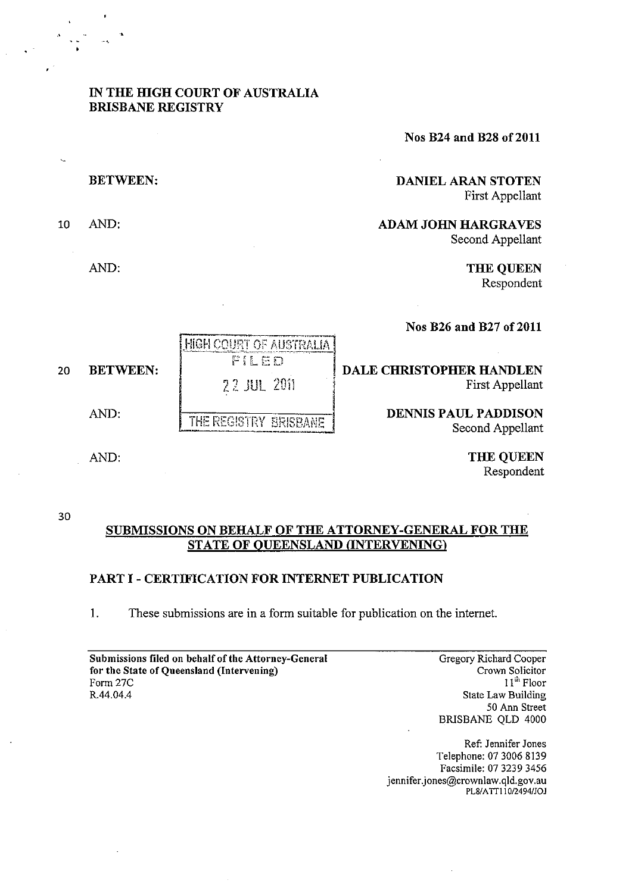# IN THE HIGH COURT OF AUSTRALIA BRISBANE REGISTRY

Nos B24 and B28 of 2011

| <b>DANIEL ARAN STOTEN</b><br>First Appellant   | <b>BETWEEN:</b>                                                                                                       |    |
|------------------------------------------------|-----------------------------------------------------------------------------------------------------------------------|----|
| <b>ADAM JOHN HARGRAVES</b><br>Second Appellant | AND:                                                                                                                  | 10 |
| <b>THE QUEEN</b><br>Respondent                 | AND:                                                                                                                  |    |
| Nos B26 and B27 of 2011                        | <u>ה אינטראט אין אינטראט אין אין אינט אויפן אינט אין אין דער אין אין אינטאַ אינטאַ אינט אינט אינט אינט אינט און א</u> |    |

PILED DALE CHRISTOPHER HANDLEN **22 JUL 2011** First Appellant AND: THE REGISTRY BRISBANE DENNIS PAUL PADDISON

Second Appellant

THE QUEEN Respondent

#### 30

# SUBMISSIONS ON BEHALF OF THE ATTORNEY-GENERAL FOR THE STATE OF OUEENSLAND (INTERVENING)

# PART I - CERTIFICATION FOR INTERNET PUBLICATION

HIGH COURT OF AUSTRALIA |

I. These submissions are in a form suitable for publication on the internet.

| Submissions filed on behalf of the Attorney-General |
|-----------------------------------------------------|
| for the State of Queensland (Intervening)           |
| Form 27C                                            |
| R.44.04.4                                           |

Gregory Richard Cooper Crown Solicitor 11"' Floor State Law Building 50 Ann Street BRISBANE QLD 4000

Ref: Jennifer Jones Telephone: 0730068139 Facsimile: 0732393456 jennifer.jones@crownlaw.qld.gov.au PL8/ATT110/2494/JOJ

20 BETWEEN:

AND: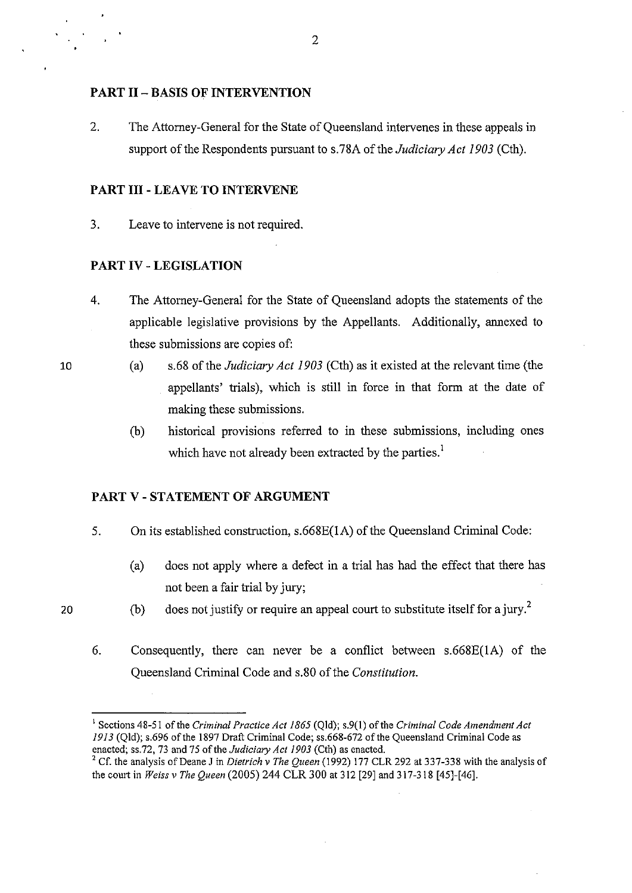## **PART II - BASIS OF INTERVENTION**

2. The Attorney-General for the State of Queensland intervenes in these appeals in support of the Respondents pursuant to s.78A of the *Judiciary Act 1903* (Cth).

# **PART III - LEAVE TO INTERVENE**

3. Leave to intervene is not required.

# **PART IV - LEGISLATION**

- 4. The Attorney-General for the State of Queensland adopts the statements of the applicable legislative provisions by the Appellants. Additionally, annexed to these submissions are copies of:
	- (a) s.68 of the *Judiciary Act 1903* (Cth) as it existed at the relevant time (the appellants' trials), which is still in force in that form at the date of making these submissions.
		- (b) historical provisions referred to in these submissions, including ones which have not already been extracted by the parties.<sup>1</sup>

## **PART V - STATEMENT OF ARGUMENT**

- 5. **On** its established construction, s.668E(lA) of the Queensland Criminal Code:
	- (a) does not apply where a defect in a trial has had the effect that there has not been a fair trial by jury;
- 20
- (b) does not justify or require an appeal court to substitute itself for a jury.<sup>2</sup>
- 6. Consequently, there can never be a conflict between s.668E(lA) of the Queensland Criminal Code and s.80 of the *Constitution.*

2

<sup>&</sup>lt;sup>1</sup> Sections 48-51 of the *Criminal Practice Act 1865* (Qld); s.9(1) of the *Criminal Code Amendment Act* 1913 (Qld); s.696 ofthe 1897 Draft Criminal Code; ss.668-672 of the Queensland Criminal Code as enacted; ss.72, 73 and 75 of the *Judiciary Act 1903* (Cth) as enacted.

<sup>2</sup> Cf. the analysis of Deane J in *Dietrich* v *The Queen* (1992) 177 CLR 292 at 337-338 with the analysis of the court in *Weiss v The Queen* (2005) 244 CLR 300 at 312 [29] and 317-318 [45]-[46].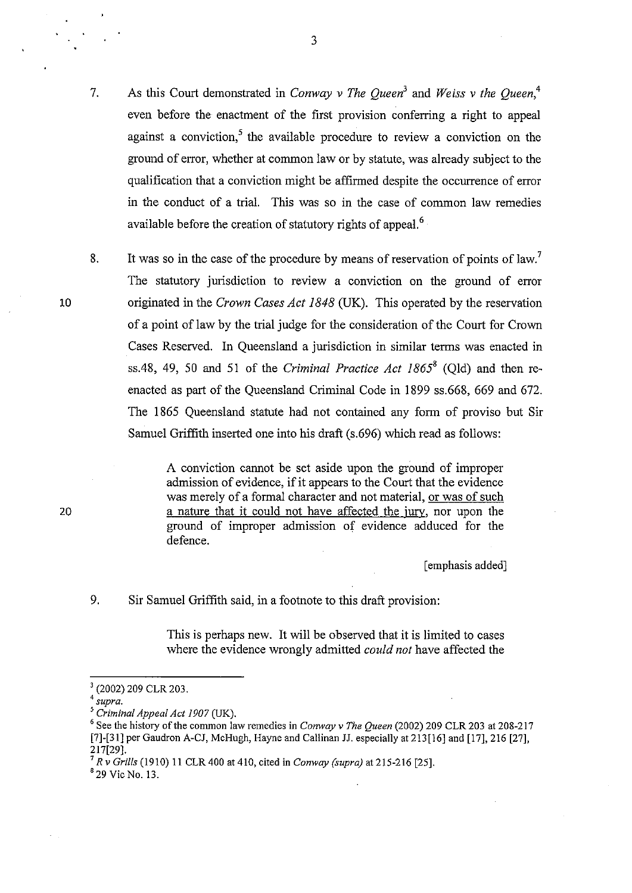- 7. As this Court demonstrated in *Conway v The Queen<sup>3</sup>*and *Weiss v the Queen,4*  even before the enactment of the first provision conferring a right to appeal against a conviction.<sup>5</sup> the available procedure to review a conviction on the ground of error, whether at common law or by statute, was already subject to the qualification that a conviction might be affirmed despite the occurrence of error in the conduct of a trial. This was so in the case of common law remedies available before the creation of statutory rights of appeal.<sup>6</sup>
- 8. It was so in the case of the procedure by means of reservation of points of law.<sup>7</sup> The statutory jurisdiction to review a conviction on the ground of error originated in the *Crown Cases Act* 1848 (UK). This operated by the reservation of a point of law by the trial judge for the consideration of the Court for Crown Cases Reserved. In Queensland a jurisdiction in similar terms was enacted in ss.48, 49, 50 and 51 of the *Criminal Practice Act 1865<sup>8</sup>* (Old) and then reenacted as part of the Queensland Criminal Code in 1899 ss.668, 669 and 672. The 1865 Queensland statute had not contained any form of proviso but Sir Samuel Griffith inserted one into his draft (s.696) which read as follows:

A conviction cannot be set aside upon the ground of improper admission of evidence, if it appears to the Court that the evidence was merely of a formal character and not material, or was of such a nature that it could not have affected the jury, nor upon the ground of improper admission of evidence adduced for the defence.

[emphasis added]

### 9. Sir Samuel Griffith said, in a footnote to this draft provision:

This is perhaps new. It will be observed that it is limited to cases where the evidence wrongly admitted *could not* have affected the

'29 Vic No. 13.

10

<sup>3 (2002) 209</sup> CLR 203.

*<sup>4</sup> supra.* 

*<sup>5</sup> Criminal Appeal Act 1907* (UK).

<sup>6</sup> See the history of the common law remedies in *Conway* v *The Queen* (2002) 209 CLR 203 at 208-217 [7]-[31] per Gaudron A-CJ, McHugh, Hayne and Callinan JJ. especially at 213 [16] and [17], 216 [27], 217[29].

<sup>7</sup>*R* v *Grills* (1910) 11 CLR 400 at 410, cited in *Conway (supra)* at 215-216 [25].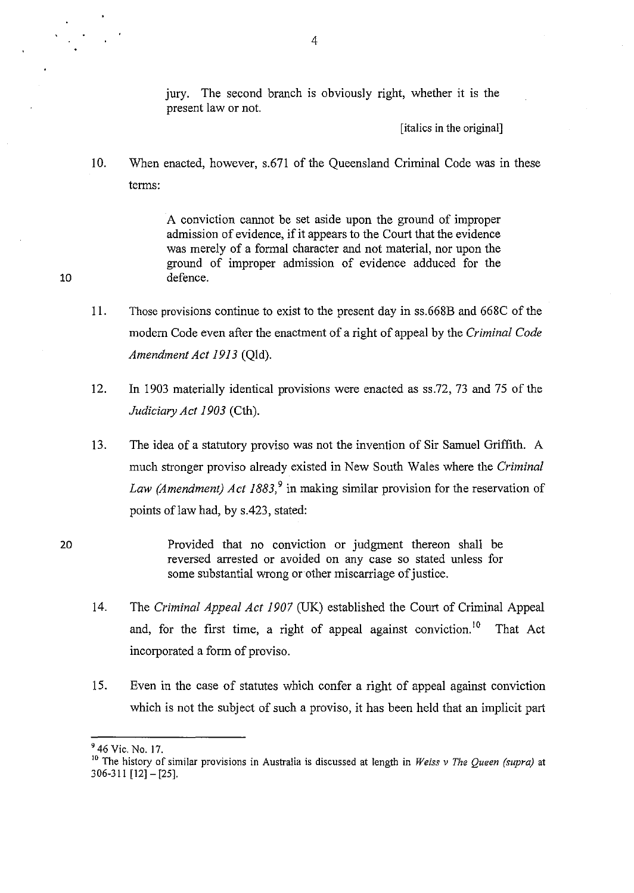jury. The second branch is obviously right, whether it is the present law or not.

[italics in the original]

10. When enacted, however, s.671 of the Queensland Criminal Code was in these terms:

> A conviction cannot be set aside upon the ground of improper admission of evidence, if it appears to the Court that the evidence was merely of a formal character and not material, nor upon the ground of improper admission of evidence adduced for the defence.

- 11. Those provisions continue to exist to the present day in ss.668B and 668C of the modern Code even after the enactment of a right of appeal by the *Criminal Code Amendment Act* 1913 (Qld).
- 12. In 1903 materially identical provisions were enacted as ss.72, 73 and 75 of the *Judiciary Act 1903* (Cth).
- 13. The idea of a statutory proviso was not the invention of Sir Samuel Griffith. A much stronger proviso already existed in New South Wales where the *Criminal Law (Amendment) Act 1883*,<sup>9</sup> in making similar provision for the reservation of points of law had, by s.423, stated:
- 20 Provided that no conviction or judgment thereon shall be reversed arrested or avoided on any case so stated unless for some substantial wrong or other miscarriage of justice.
	- 14. The *Criminal Appeal Act 1907* (UK) established the Court of Criminal Appeal and, for the first time, a right of appeal against conviction.<sup>10</sup> That Act incorporated a form of proviso.
	- 15. Even in the case of statutes which confer a right of appeal against conviction which is not the subject of such a proviso, it has been held that an implicit part

 $946$  Vic. No. 17.

<sup>10</sup> The history of similar provisions in Australia is discussed at length in *Weiss* v *The Queen (supra)* at 306-311 [12]- [25].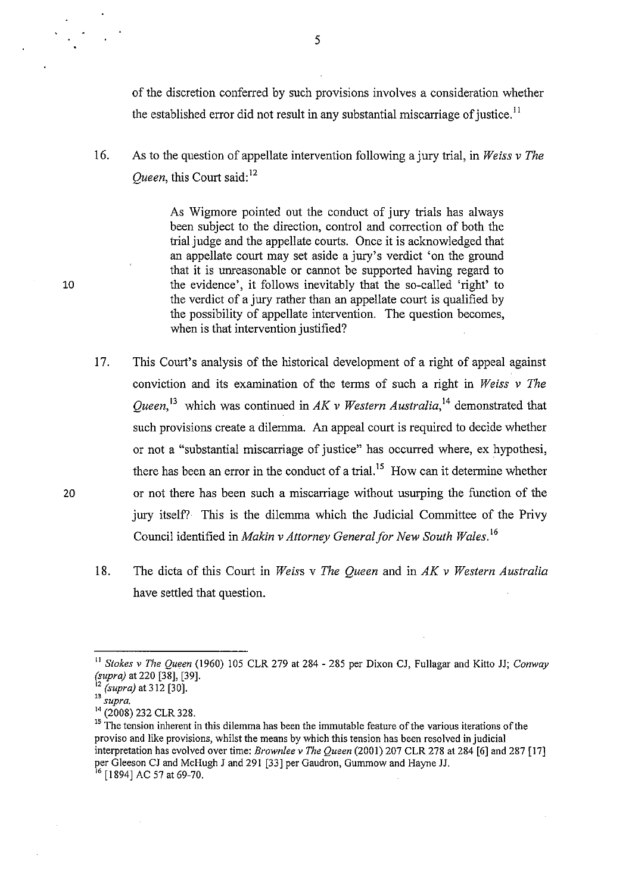of the discretion conferred by such provisions involves a consideration whether the established error did not result in any substantial miscarriage of justice.<sup>11</sup>

16. As to the question of appellate intervention following a jury trial, in *Weiss* v *The Oueen, this Court said*:<sup>12</sup>

> As Wigmore pointed out the conduct of jury trials has always been subject to the direction, control and correction of both the trial judge and the appellate courts. Once it is acknowledged that an appellate court may set aside a jury's verdict 'on the ground that it is unreasonable or cannot be supported having regard to the evidence', it follows inevitably that the so-called 'right' to the verdict of a jury rather than an appellate court is qualified by the possibility of appellate intervention. The question becomes, when is that intervention justified?

- 17. This Court's analysis of the historical development of a right of appeal against conviction and its examination of the terms of such a right in *Weiss* v *The Queen*,<sup>13</sup> which was continued in *AK v Western Australia*,<sup>14</sup> demonstrated that such provisions create a dilemma. An appeal court is required to decide whether or not a "substantial miscarriage of justice" has occurred where, ex hypothesi, there has been an error in the conduct of a trial.<sup>15</sup> How can it determine whether or not there has been such a miscarriage without usurping the function of the jury itself? This is the dilemma which the Judicial Committee of the Privy Council identified in *Makin* v *Attorney General for New South Wales. <sup>16</sup>*
- 18. The dicta of this Court in *Weiss* v *The Queen* and in *AK* v *Western Australia*  have settled that question.

5

<sup>&</sup>lt;sup>11</sup> *Stokes v The Queen* (1960) 105 CLR 279 at 284 - 285 per Dixon CJ, Fullagar and Kitto JJ; *Conway (supra)* at 220 [38], [39].

<sup>12</sup>*(supra)* at 312 [30].

**<sup>13</sup>***supra.* 

<sup>14 (2008) 232</sup> CLR 328.

<sup>&</sup>lt;sup>15</sup> The tension inherent in this dilemma has been the immutable feature of the various iterations of the proviso and like provisions, whilst the means by which this tension has been resolved in judicial interpretation has evolved over time: *Brownlee* v *The Queen* (2001) 207 CLR 278 at 284 [6] and 287 [17] per Gleeson CJ and McHugh J and 291 [33] per Gaudron, Gummow and Hayne JJ.

<sup>16</sup> [1894] AC 57 at 69-70.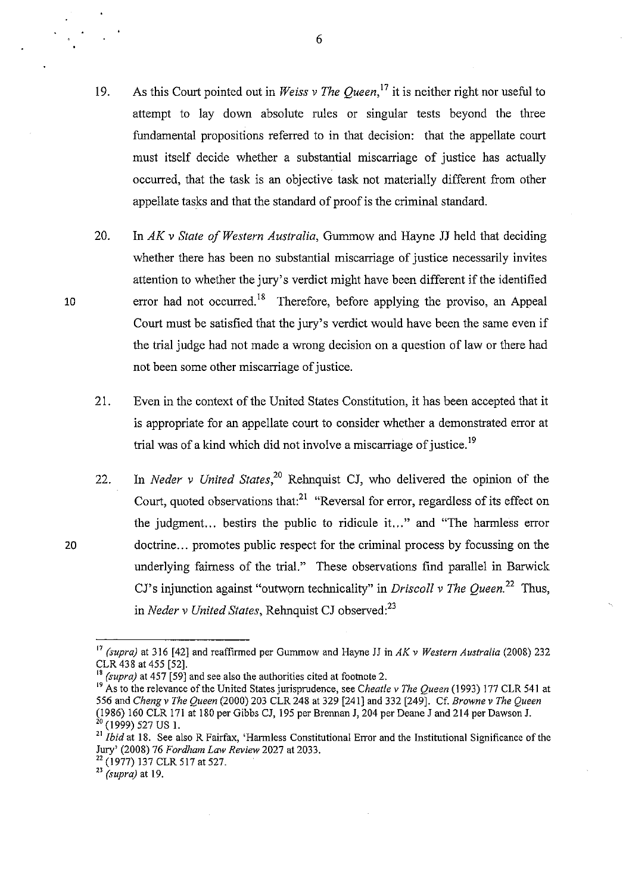- 19. As this Court pointed out in *Weiss* v *The Queen,17* it is neither right nor useful to attempt to lay down absolute rules or singular tests beyond the three fundamental propositions referred to in that decision: that the appellate court must itself decide whether a substantial miscarriage of justice has actually occurred, that the task is an objective task not materially different from other appellate tasks and that the standard of proof is the criminal standard.
- 20. In *AK* v *State of Western Australia,* Gummow and Hayne JJ held that deciding whether there has been no substantial miscarriage of justice necessarily invites attention to whether the jury's verdict might have been different if the identified error had not occurred.<sup>18</sup> Therefore, before applying the proviso, an Appeal Court must be satisfied that the jury's verdict would have been the same even if the trial judge had not made a wrong decision on a question of law or there had not been some other miscarriage of justice.
- 21. Even in the context of the United States Constitution, it has been accepted that it is appropriate for an appellate court to consider whether a demonstrated error at trial was of a kind which did not involve a miscarriage of justice.<sup>19</sup>
- 22. In *Neder* v *United States,20* Rehnquist CJ, who delivered the opinion of the Court, quoted observations that: $2^1$  "Reversal for error, regardless of its effect on the judgment... bestirs the public to ridicule it..." and "The harmless error doctrine... promotes public respect for the criminal process by focussing on the underlying fairness of the trial." These observations find parallel in Barwick CJ's injunction against "outworn technicality" in *Driscoll v The Queen*<sup>22</sup> Thus, in *Neder v United States*, Rehnquist CJ observed:<sup>23</sup>

10

20

<sup>17</sup>*(supra)* at 316 [42] and reaffirmed per Gummow and Hayne JJ in *AK* v *Western Australia* (2008) 232 CLR 438 at 455 [52].

*<sup>(</sup>supra)* at 457 [59] and see also the authorities cited at footnote 2.

<sup>19</sup>As to the relevance of the United States jurisprudence, see *Cheat!e* v *The Queen* (1993) 177 CLR 541 at 556 and *Cheng* v *The Queen* (2000) 203 CLR 248 at 329 [241] and 332 [249]. Cf. *Browne* v *The Queen*  (1986) 160 CLR 171 at 180 per Gibbs CJ, 195 per Brennan J, 204 per Deane J and 214 per Dawson J.  $^{20}$  (1999) 527 US 1.

<sup>21</sup>*Ibid* at 18. See also R Fairfax, 'Harmless Constitutional Error and the Institutional Significance of the Jury' (2008) 76 *Fordham Law Review* 2027 at 2033.

<sup>22 (1977) 137</sup> CLR 517 at 527.

<sup>23</sup> *(supra)* at 19.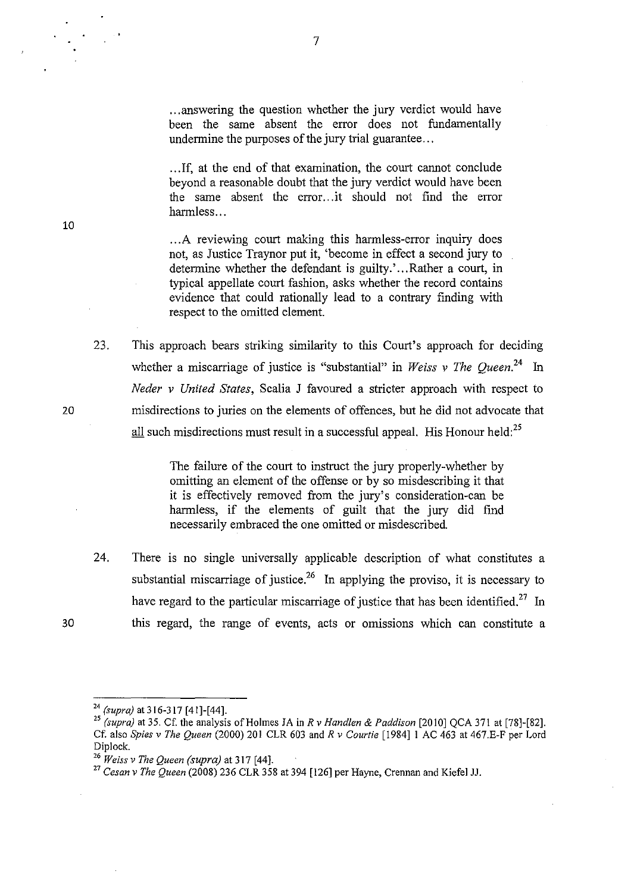... answering the question whether the jury verdict would have been the same absent the error does not fundamentally undermine the purposes of the jury trial guarantee...

.. .If, at the end of that examination, the court cannot conclude beyond a reasonable doubt that the jury verdict would have been the same absent the error .. .it should not find the error harmless...

... A reviewing court making this harmless-error inquiry does not, as Justice Traynor put it, 'become in effect a second jury to determine whether the defendant is guilty.' ... Rather a court, in typical appellate court fashion, asks whether the record contains evidence that could rationally lead to a contrary finding with respect to the omitted element.

23. This approach bears striking similarity to this Court's approach for deciding whether a miscarriage of justice is "substantial" in *Weiss v The Oueen*.<sup>24</sup> In *Neder v United States,* Scalia J favoured a stricter approach with respect to misdirections to juries on the elements of offences, but he did not advocate that all such misdirections must result in a successful appeal. His Honour held:<sup>25</sup>

> The failure of the court to instruct the jury properly-whether by omitting an element of the offense or by so misdescribing it that it is effectively removed from the jury's consideration-can be harmless, if the elements of guilt that the jury did find necessarily embraced the one omitted or misdescribed.

24. There is no single universally applicable description of what constitutes a substantial miscarriage of justice.<sup>26</sup> In applying the proviso, it is necessary to have regard to the particular miscarriage of justice that has been identified.<sup>27</sup> In this regard, the range of events, acts or omissions which can constitute a

20

<sup>24</sup>*(supra)* a1316-317 [41]-[44].

<sup>25</sup>*(supra)* al 35. Cf. Ihe analysis of Holmes JA in *R* v *Handlen* & *Paddison* [2010] QCA 371 al [78]-[82]. Cf. also *Spies* v *The Queen* (2000) 201 CLR 603 and *R* v *Courtie* [1984]1 AC 463 al 467.E-F per Lord Diplock.

<sup>&</sup>lt;sup>26</sup> *Weiss v The Queen (supra)* at 317 [44].

<sup>27</sup> *Cesan* v *The Queen* (2008) 236 CLR 358 al 394 [126] per Hayne, Crennan and Kiefel JJ.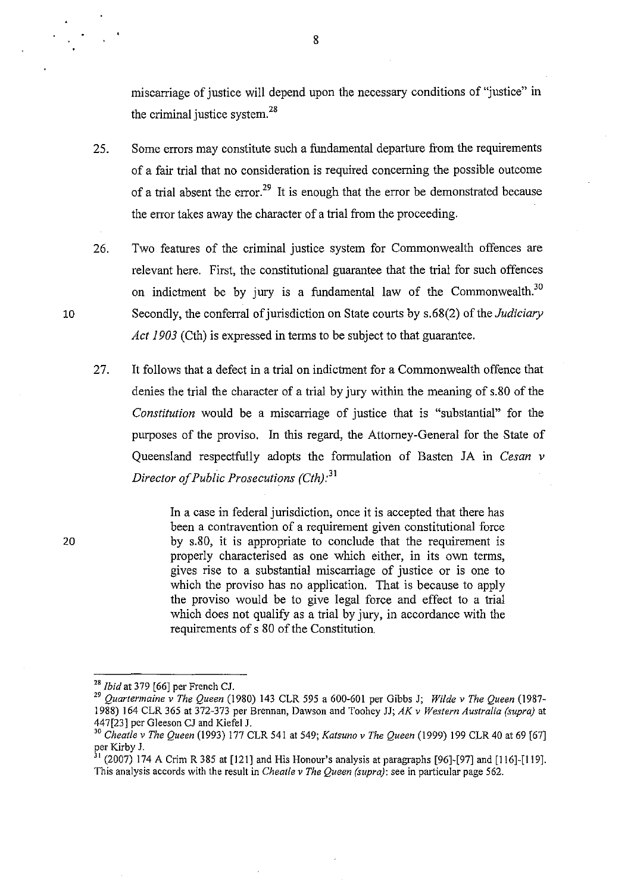miscarriage of justice will depend upon the necessary conditions of "justice" in the criminal justice system. $28$ 

- 25. Some errors may constitute such a fundamental departure from the requirements of a fair trial that no consideration is required concerning the possible outcome of a trial absent the error.<sup>29</sup> It is enough that the error be demonstrated because the error takes away the character of a trial from the proceeding.
- 26. Two features of the criminal justice system for Commonwealth offences are relevant here. First, the constitutional guarantee that the trial for such offences on indictment be by jury is a fundamental law of the Commonwealth.<sup>30</sup> Secondly, the conferral of jurisdiction on State courts by s.68(2) of the *Judiciary Act 1903* (Cth) is expressed in terms to be subject to that guarantee.
- 27. It follows that a defect in a trial on indictment for a Commonwealth offence that denies the trial the character of a trial by jury within the meaning of s.80 of the *Constitution* would be a miscarriage of justice that is "substantial" for the purposes of the proviso. In this regard, the Attorney-General for the State of Queensland respectfully adopts the formulation of Basten JA in *Cesan v Director of Public Prosecutions (Cth)*<sup>31</sup>

In a case in federal jurisdiction, once it is accepted that there has been a contravention of a requirement given constitutional force by s.80, it is appropriate to conclude that the requirement is properly characterised as one which either, in its own terms, gives rise to a substantial miscarriage of justice or is one to which the proviso has no application. That is because to apply the proviso would be to give legal force and effect to a trial which does not qualify as a trial by jury, in accordance with the requirements of s 80 of the Constitution.

20

<sup>28</sup>*Ibid* at 379 [66] per French CJ.

*<sup>29</sup> Quartermaine* v *The Queen* (1980) 143 CLR 595 a 600-601 per Gibbs J; *Wilde* v *The Queen (1987-* 1988) 164 CLR 365 at 372-373 per Brennan, Dawson and Toohey JJ; *AK* v *Western Australia (supra)* at 447[23] per Gleeson CJ and Kiefel J.

<sup>30</sup>*Cheat!e* v *The Queen* (1993) 177 CLR 541 at 549; *Katsuno* v *The Queen* (1999) 199 CLR 40 at 69 [67] per Kirby J.<br> $\frac{1}{31}$  (2000)

<sup>31 (2007) 174</sup> A Crim R 385 at [121] and His Honour's analysis at paragraphs [96]-[97] and [116]-[119]. This analysis accords with the result in *Cheatle* v *The Queen (supra):* see in particular page 562.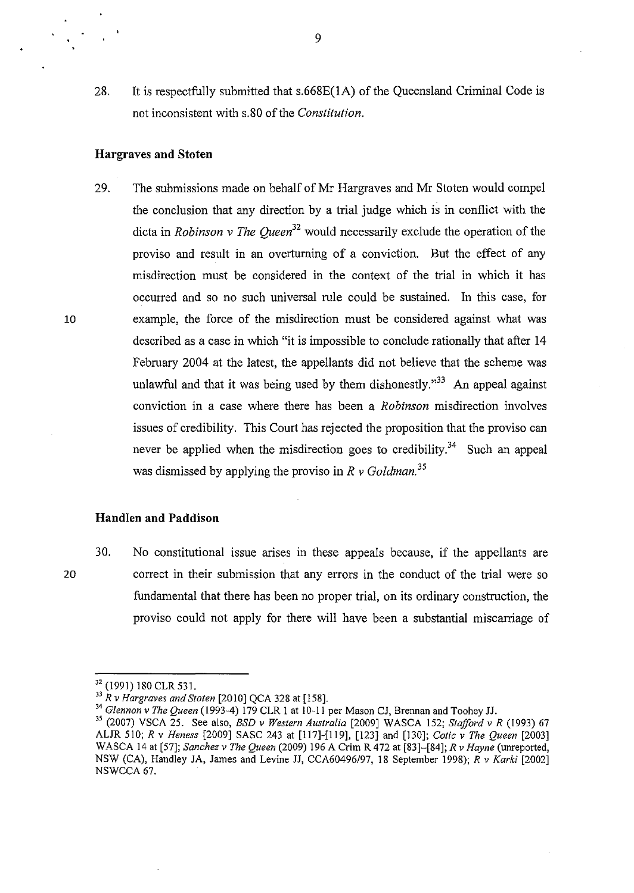28. It is respectfully submitted that s.668E(1A) of the Oueensland Criminal Code is not inconsistent with s.80 of the *Constitution.* 

#### Hargraves and Stoten

10

20

29. The submissions made on behalf of Mr Hargraves and Mr Stoten would compel the conclusion that any direction by a trial judge which is in conflict with the dicta in *Robinson* v *The Queen<sup>32</sup>*would necessarily exclude the operation of the proviso and result in an overturning of a conviction. But the effect of any misdirection must be considered in the context of the trial in which it has occurred and so no such universal rule could be sustained. In this case, for example, the force of the misdirection must be considered against what was described as a case in which "it is impossible to conclude rationally that after 14 February 2004 at the latest, the appellants did not believe that the scheme was unlawful and that it was being used by them dishonestly.<sup>33</sup> An appeal against conviction in a case where there has been a *Robinson* misdirection involves issues of credibility. This Court has rejected the proposition that the proviso can never be applied when the misdirection goes to credibility.<sup>34</sup> Such an appeal was dismissed by applying the proviso in *R v Goldman. 35* 

#### Handlen and Paddison

30. No constitutional issue arises in these appeals because, if the appellants are correct in their submission that any errors in the conduct of the trial were so fundamental that there has been no proper trial, on its ordinary construction, the proviso could not apply for there will have been a substantial miscarriage of

<sup>&</sup>lt;sup>32</sup> (1991) 180 CLR 531.

J3 *R* v *Hargraves and Staten* [2010] QCA 328 at [158].

<sup>34</sup>*Glennon* v *The Queen* (1993-4) 179 CLR I at 10-11 per Mason CJ, Brennan and Toohey JJ.

<sup>&</sup>lt;sup>35</sup> (2007) VSCA 25. See also, *BSD v Western Australia* [2009] WASCA 152; *Stafford v R* (1993) 67 ALJR 510; R v *Heness* [2009] SASC 243 at [117]-[119], [123] and [130]; *Colic* v *The Queen* [2003] WASCA 14 at [57]; *Sanchez* v *The Queen* (2009) 196 A Crim R 472 at [83]-[84]; *R* v *Hayne* (unreported, NSW (CA), Handley JA, James and Levine JJ, CCA60496/97, 18 September 1998); R v *Karki* [2002] NSWCCA 67.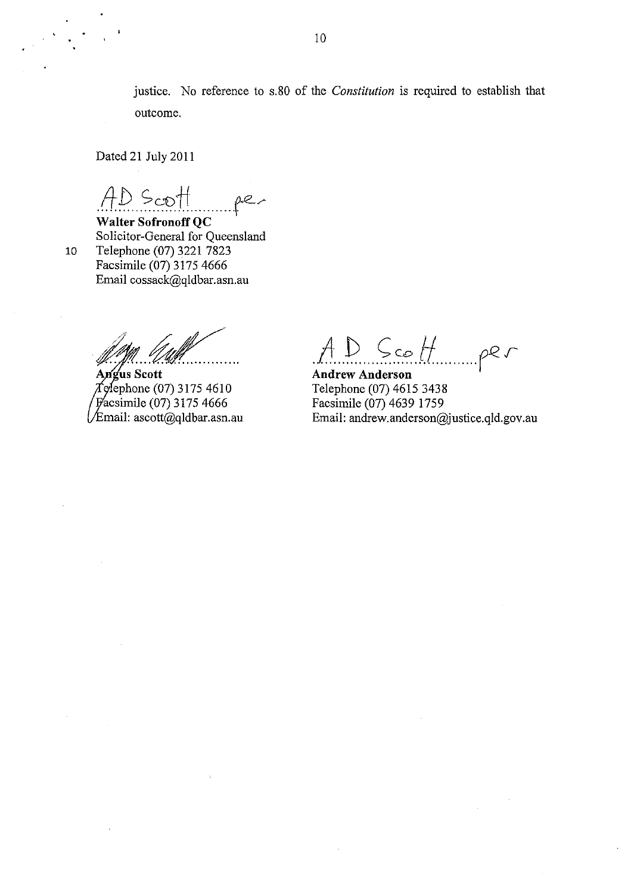justice. No reference to s.80 of the *Constitution* is required to establish that outcome.

Dated 21 July 2011

AD Scott per

Solicitor-General for Queensland 10 Telephone (07) 3221 7823 Facsimile (07) 3175 4666 Email cossack@qldbar.asn.au

/ .. /, ~ ..... ~ ....

Angus Scott ephone (07) 3175 4610 acsimile (07) 3175 4666  $\sqrt{\text{Email}}$ : ascott@qldbar.asn.au

 $A. D. S. = H_{\text{max}}$  per

**Andrew Anderson**  Telephone (07) 46153438 Facsimile (07) 4639 1759 Email: andrew.anderson@justice.qld.gov.au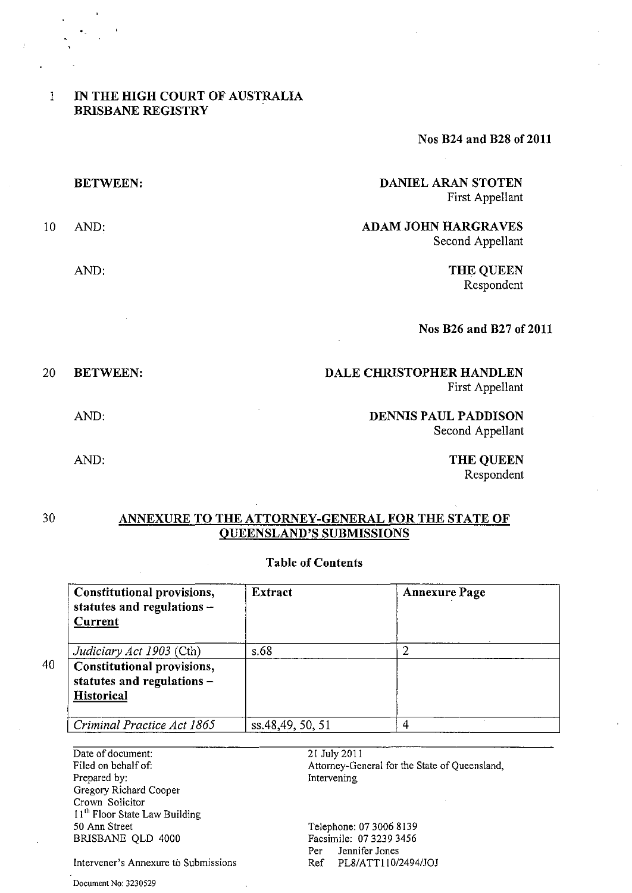# 1 IN THE HIGH COURT OF AUSTRALIA BRISBANE REGISTRY

Nos B24 and B28 of 2011

|    | <b>BETWEEN:</b> | DANIEL ARAN STOTEN<br>First Appellant          |
|----|-----------------|------------------------------------------------|
| 10 | AND:            | <b>ADAM JOHN HARGRAVES</b><br>Second Appellant |
|    | AND:            | <b>THE QUEEN</b><br>Respondent                 |
|    |                 | Nos B26 and B27 of 2011                        |
| 20 | <b>BETWEEN:</b> | DALE CHRISTOPHER HANDLEN                       |

First Appellant

DENNIS PAUL PADDISON Second Appellant

> THE QUEEN Respondent

# 30 ANNEXURE TO THE ATTORNEY-GENERAL FOR THE STATE OF OUEENSLAND'S SUBMISSIONS

# Table of Contents

| Constitutional provisions,<br>statutes and regulations $-$<br><b>Current</b>  | Extract          | <b>Annexure Page</b> |
|-------------------------------------------------------------------------------|------------------|----------------------|
| Judiciary Act 1903 (Cth)                                                      | s.68             |                      |
| Constitutional provisions,<br>statutes and regulations -<br><b>Historical</b> |                  |                      |
| Criminal Practice Act 1865                                                    | ss.48,49, 50, 51 |                      |

Date of document: Filed on behalf of: Prepared by: Gregory Richard Cooper Crown Solicitor I<sup>1th</sup> Floor State Law Building 50 Ann Street BRlSBANE QLD 4000

Document No: 3230529

21 July 2011 Attorney-General for the State of Queensland, Intervening

Telephone: 07 3006 8139 Facsimile: 073239 3456 Per Jennifer Jones Ref PL8/ATT110/2494/JOJ

Intervener's Annexure to Submissions

AND:

AND: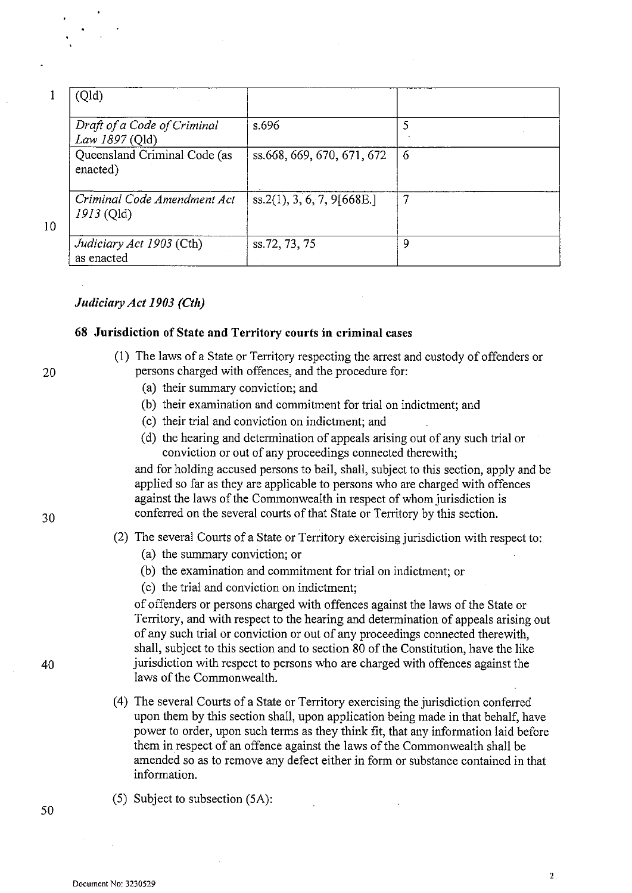|              | (Qld)                                         |                            |    |
|--------------|-----------------------------------------------|----------------------------|----|
|              | Draft of a Code of Criminal<br>Law 1897 (Qld) | s.696                      |    |
|              | Queensland Criminal Code (as<br>enacted)      | ss.668, 669, 670, 671, 672 | -6 |
| $\mathbf{0}$ | Criminal Code Amendment Act<br>1913 (Qld)     | ss.2(1), 3, 6, 7, 9[668E]  | 7  |
|              | Judiciary Act 1903 (Cth)<br>as enacted        | ss.72, 73, 75              | 9  |

10

# Judiciary Act 1903 (Cth)

## **68 Jurisdiction of State and Territory courts in criminal** cases

- (1) The laws of a State or Territory respecting the arrest and custody of offenders or persons charged with offences, and the procedure for:
	- (a) their summary conviction; and
	- (b) their examination and commitment for trial on indictment; and
	- (c) their trial and conviction on indictment; and
	- (d) the hearing and determination of appeals arising out of any such trial or conviction or out of any proceedings connected therewith;

and for holding accused persons to bail, shall, subject to this section, apply and be applied so far as they are applicable to persons who are charged with offences against the laws of the Commonwealth in respect of whom jurisdiction is conferred on the several courts of that State or Territory by this section.

- (2) The several Courts of a State or Territory exercising jurisdiction with respect to:
	- (a) the summary conviction; or
	- (b) the examination and commitment for trial on indictment; or
	- (c) the trial and conviction on indictment;

of offenders or persons charged with offences against the laws of the State or Territory, and with respect to the hearing and determination of appeals arising out of any such trial or conviction or out of any proceedings connected therewith, shall, subject to this section and to section 80 of the Constitution, have the like 40 jurisdiction with respect to persons who are charged with offences against the laws of the Commonwealth.

- (4) The several Courts of a State or Territory exercising the jurisdiction conferred upon them by this section shall, upon application being made in that behalf, have power to order, upon such terms as they think fit, that any information laid before them in respect of an offence against the laws of the Commonwealth shall be amended so as to remove any defect either in form or substance contained in that information.
- (5) Subject to subsection (SA):

20

30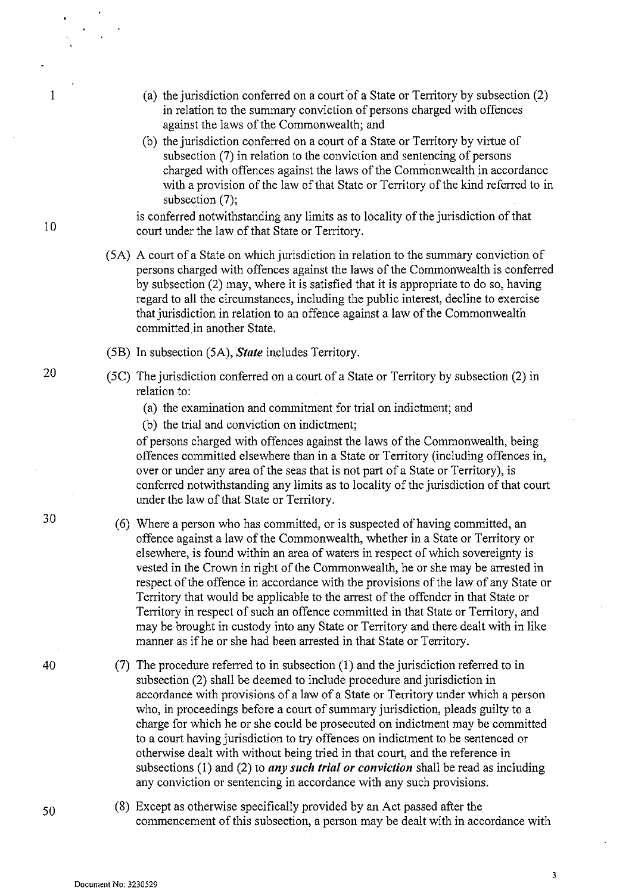- (a) the jurisdiction conferred on a court 'of a State or Territory by subsection (2) in relation to the summary conviction of persons charged with offences against the laws of the Commonwealth; and
- (b) the jurisdiction conferred on a court of a State or Territory by virtue of subsection (7) in relation to the conviction and sentencing of persons charged with offences against the laws of the Commonwealth in accordance with a provision of the law of that State or Territory of the kind referred to in subsection (7):

is conferred notwithstanding any limits as to locality of the jurisdiction of that court under the law of that State or Territory.

- (5A) A court of a State on which jurisdiction in relation to the summary conviction of persons charged with offences against the laws of the Commonwealth is conferred by subsection (2) may, where it is satisfied that it is appropriate to do so, having regard to all the circumstances, including the public interest, decline to exercise that jurisdiction in relation to an offence against a law of the Commonwealth committed in another State.
- (SB) In subsection (SA), *State* includes Territory.
- (SC) The jurisdiction conferred on a court of a State or Territory by subsection (2) in relation to:
	- (a) the examination and commitment for trial on indictment; and
	- (b) the trial and conviction on indictment;

of persons charged with offences against the laws of the Commonwealth, being offences committed elsewhere than in a State or Territory (including offences in, over or under any area of the seas that is not part of a State or Territory), is conferred notwithstanding any limits as to locality of the jurisdiction of that court under the law of that State or Territory.

- (6) Where a person who has committed, or is snspected of having committed, an offence against a law of the Commonwealth, whether in a State or Territory or elsewhere, is found within an area of waters in respect of which sovereignty is vested in the Crown in right of the Commonwealth, he or she may be arrested in respect of the offence in accordance with the provisions of the law of any State or Territory that would be applicable to the arrest of the offender in that State or Territory in respect of such an offence committed in that State or Territory, and may be brought in custody into any State or Territory and there dealt with in like manner as if he or she had been arrested in that State or Territory.
- (7) The procedure referred to in subsection (1) and the jurisdiction referred to in subsection (2) shall be deemed to include procedure and jurisdiction in accordance with provisions of a law of a State or Territory under which a person who, in proceedings before a court of summary jurisdiction, pleads guilty to a charge for which he or she could be prosecuted on indictment may be committed to a court having jurisdiction to try offences on indictment to be sentenced or otherwise dealt with without being tried in that court, and the reference in subsections (1) and (2) to *any such trial or conviction* shall be read as including any conviction or sentencing in accordance with any such provisions.
- (8) Except as otherwise specifically provided by an Act passed after the commencement of this subsection, a person may be dealt with in accordance with

10

1

20

30

40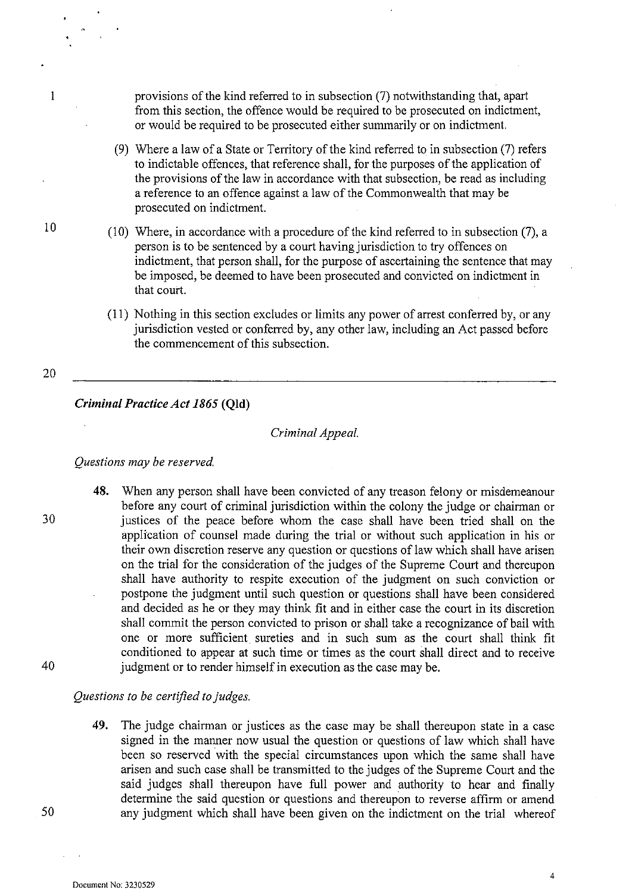provisions of the kind referred to in subsection (7) notwithstanding that, apart from this section, the offence would be required to be prosecuted on indictment, or would be required to be prosecuted either summarily or on indictment.

- (9) Where a law of a State or Territory of the kind referred to in subsection (7) refers to indictable offences, that reference shall, for the purposes of the application of the provisions of the law in accordance with that subsection, be read as including a reference to an offence against a law of the Commonwealth that may be prosecuted on indictment.
- (10) Where, in accordance with a procedure of the kind referred to in subsection (7), a person is to be sentenced by a court having jurisdiction to try offences on indictment, that person shall, for the purpose of ascertaining the sentence that may be imposed, be deemed to have been prosecuted and convicted on indictment in that court.
- (11) Nothing in this section excludes or limits any power of arrest conferred by, or any jurisdiction vested or conferred by, any other law, including an Act passed before the commencement of this subsection.

20

10

 $\mathbf{1}$ 

# *Criminal Practice Act* 1865 (Qld)

### *Criminal Appeal.*

#### *Questions may be reserved.*

48. When any person shall have been convicted of any treason felony or misdemeanour before any court of criminal jurisdiction within the colony the judge or chairman or 30 justices of the peace before whom the case shall have been tried shall on the application of counsel made during the trial or without such application in his or their own discretion reserve any question or questions of law which shall have arisen on the trial for the consideration of the judges of the Supreme Court and thereupon shall have authority to respite execution of the judgment on such conviction or postpone the judgment until such question or questions shall have been considered and decided as he or they may think fit and in either case the court in its discretion shall commit the person convicted to prison or shall take a recognizance of bail with one or more sufficient sureties and in such sum as the court shall think fit conditioned to appear at such time or times as the court shall direct and to receive judgment or to render himself in execution as the case may be.

*Questions to be certified to judges.* 

49. The judge chairman or justices as the case may be shall thereupon state in a case signed in the manner now usual the question or questions of law which shall have been so reserved with the special circumstances upon which the same shall have arisen and such case shall be transmitted to the judges of the Supreme Court and the said judges shall thereupon have full power and authority to hear and finally determine the said question or questions and thereupon to reverse affirm or amend 50 any judgment which shall have been given on the indictment on the trial whereof

40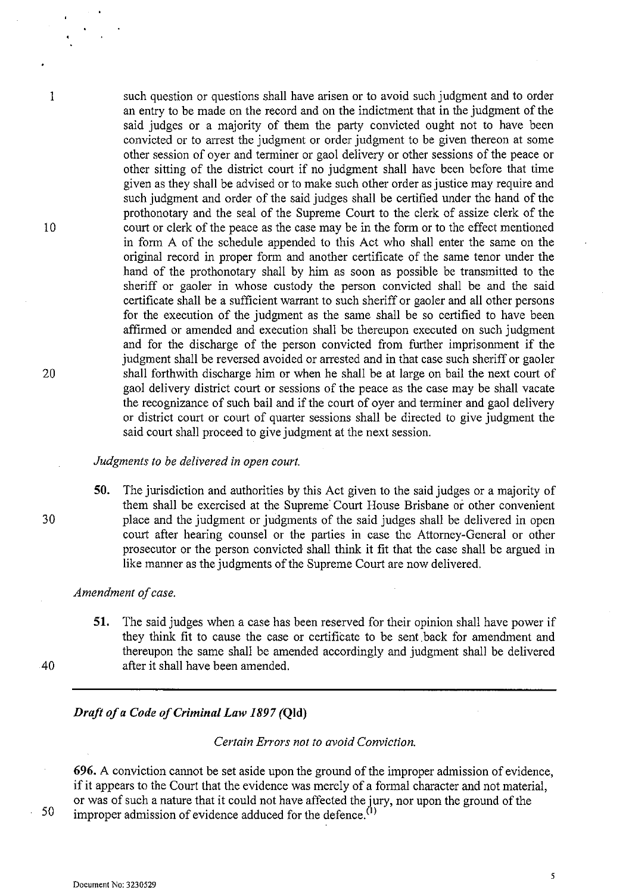such question or questions shall have arisen or to avoid such judgment and to order an entry to be made on the record and on the indictment that in the judgment of the said judges or a majority of them the party convicted ought not to have been convicted or to arrest the judgment or order judgment to be given thereon at some other session of oyer and terminer or gaol delivery or other sessions of the peace or other sitting of the district court if no judgment shall have been before that time given as they shall be advised or to make such other order as justice may require and such judgment and order of the said judges shall be certified under the hand of the prothonotary and the seal of the Supreme Court to the clerk of assize clerk of the court or clerk of the peace as the case may be in the form or to the effect mentioned in form A of the schedule appended to this Act who shall enter the same on the original record in proper form and another certificate of the same tenor under the hand of the prothonotary shall by him as soon as possible be transmitted to the sheriff or gaoler in whose custody the person convicted shall be and the said certificate shall be a sufficient warrant to such sheriff or gaoler and all other persons for the execution of the judgment as the same shall be so certified to have been affirmed or amended and execution shall be thereupon executed on such judgment and for the discharge of the person convicted from further imprisonment if the judgment shall be reversed avoided or arrested and in that case such sheriff or gaoler shall forthwith discharge him or when he shall be at large on bail the next court of gaol delivery district court or sessions of the peace as the case may be shall vacate the recognizance of such bail and if the court of oyer and terminer and gaol delivery or district court or court of quarter sessions shall be directed to give judgment the said court shall proceed to give judgment at the next session.

# *Judgments to be delivered in open court.*

50. The jurisdiction and authorities by this Act given to the said judges or a majority of them shall be exercised at the Supreme' Court House Brisbane or other convenient 30 place and the judgment or judgments of the said judges shall be delivered in open court after hearing counsel or the parties in case the Attorney-General or other prosecutor or the person convicted shall think it fit that the case shall be argued in like manner as the judgments of the Supreme Court are now delivered.

#### *Amendment of case.*

51. The said judges when a case has been reserved for their opinion shall have power if they think fit to cause the case or certificate to be sent, back for amendment and thereupon the same shall be amended accordingly and judgment shall be delivered 40 after it shall have been amended.

*Draft ofa Code of Criminal Law* 1897 (Qld)

*Certain Errors not to avoid Conviction.* 

696. A conviction cannot be set aside upon the ground of the improper admission of evidence, if it appears to the Court that the evidence was merely of a formal character and not material, or was of such a nature that it could not have affected the jury, nor upon the ground of the improper admission of evidence adduced for the defence. $^{(1)}$ 

50

1

10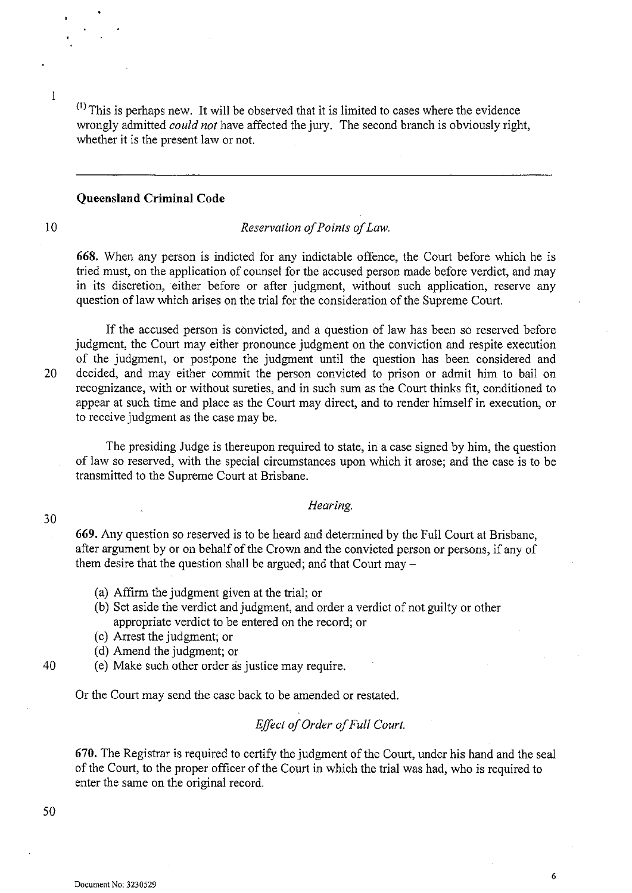$<sup>(1)</sup>$  This is perhaps new. It will be observed that it is limited to cases where the evidence</sup> wrongly admitted *could not* have affected the jury. The second branch is obviously right, whether it is the present law or not.

#### **Queensland Criminal Code**

10

1

#### *Reservation of Points of Law.*

**668.** When any person is indicted for any indictable offence, the Court before which he is tried must, on the application of counsel for the accused person made before verdict, and may in its discretion, either before or after judgment, without such application, reserve any question of law which arises on the trial for the consideration of the Supreme Court.

If the accused person is convicted, and a question of law has been so reserved before judgment, the Court may either pronounce judgment on the conviction and respite execution of the judgment, or postpone the judgment until the question has been considered and 20 decided, and may either commit the person convicted to prison or admit him to bail on recognizance, with or without sureties, and in such sum as the Court thinks fit, conditioned to appear at such time and place as the Court may direct, and to render himself in execution, or to receive judgment as the case may be.

The presiding Judge is thereupon required to state, in a case signed by him, the question of law so reserved, with the special circumstances upon which it arose; and the case is to be transmitted to the Supreme Court at Brisbane.

# *Hearing.*

**669.** Any question so reserved is to be heard and determined by the Full Court at Brisbane, after argument by or on behalf of the Crown and the convicted person or persons, if any of them desire that the question shall be argued; and that Court may  $-$ 

- (a) Affirm the judgment given at the trial; or
- (b) Set aside the verdict and judgment, and order a verdict of not guilty or other appropriate verdict to be entered on the record; or
- (c) Arrest the judgment; or
- (d) Amend the judgment; or
- 40 (e) Make such other order as justice may require.

Or the Court may send the case back to be amended or restated.

# *Effect of Order of Full Court.*

**670.** The Registrar is required to certify the judgment of the Court, under his hand and the seal of the Court, to the proper officer of the Court in which the trial was had, who is required to enter the same on the original record.

50

30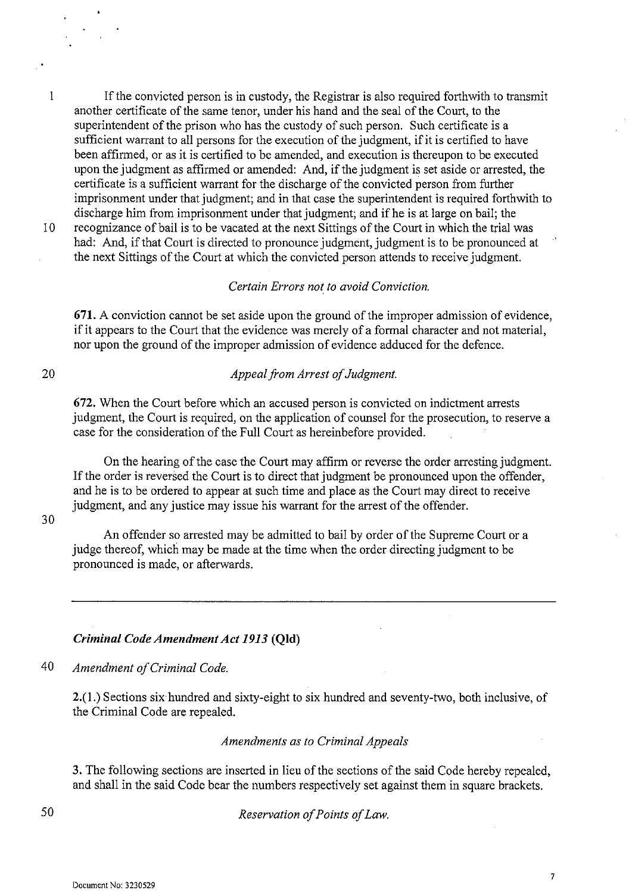1 If the convicted person is in custody, the Registrar is also required forthwith to transmit another certificate of the same tenor, under his hand and the seal of the Court, to the superintendent of the prison who has the custody of such person. Such certificate is a sufficient warrant to all persons for the execution of the judgment, if it is certified to have been affirmed, or as it is certified to be amended, and execution is thereupon to be executed upon the judgment as affirmed or amended: And, if the judgment is set aside or arrested, the certificate is a sufficient warrant for the discharge of the convicted person from further imprisonment under that judgment; and in that case the superintendent is required forthwith to discharge him from imprisonment under that judgment; and if he is at large on bail; the

10 recognizance of bail is to be vacated at the next Sittings of the Court in which the trial was had: And, if that Court is directed to pronounce judgment, judgment is to be pronounced at the next Sittings of the Court at which the convicted person attends to receive judgment.

# *Certain Errors not to avoid Conviction.*

**671.** A conviction carmot be set aside upon the ground of the improper admission of evidence, if it appears to the Court that the evidence was merely of a formal character and not material, nor upon the ground of the improper admission of evidence adduced for the defence.

# 20

# *Appeal from Arrest of Judgment.*

672. When the Court before which an accused person is convicted on indictment arrests judgment, the Court is required, on the application of counsel for the prosecution, to reserve a case for the consideration of the Full Court as hereinbefore provided.

On the hearing of the case the Court may affirm or reverse the order arresting judgment. If the order is reversed the Court is to direct that judgment be pronounced upon the offender, and he is to be ordered to appear at such time and place as the Court may direct to receive judgment, and any justice may issue his warrant for the arrest of the offender.

# 30

An offender so arrested may be admitted to bail by order of the Supreme Court or a judge thereof, which may be made at the time when the order directing judgment to be pronounced is made, or afterwards.

## *Criminal Code Amendment Act* 1913 **(Qld)**

*40 Amendment of Criminal Code.* 

2.(1.) Sections six hundred and sixty-eight to six hundred and seventy-two, both inclusive, of the Criminal Code are repealed.

## *Amendments as to Criminal Appeals*

3. The following sections are inserted in lieu of the sections of the said Code hereby repealed, and shall in the said Code bear the numbers respectively set against them in square brackets.

*Reservation of Points of Law.*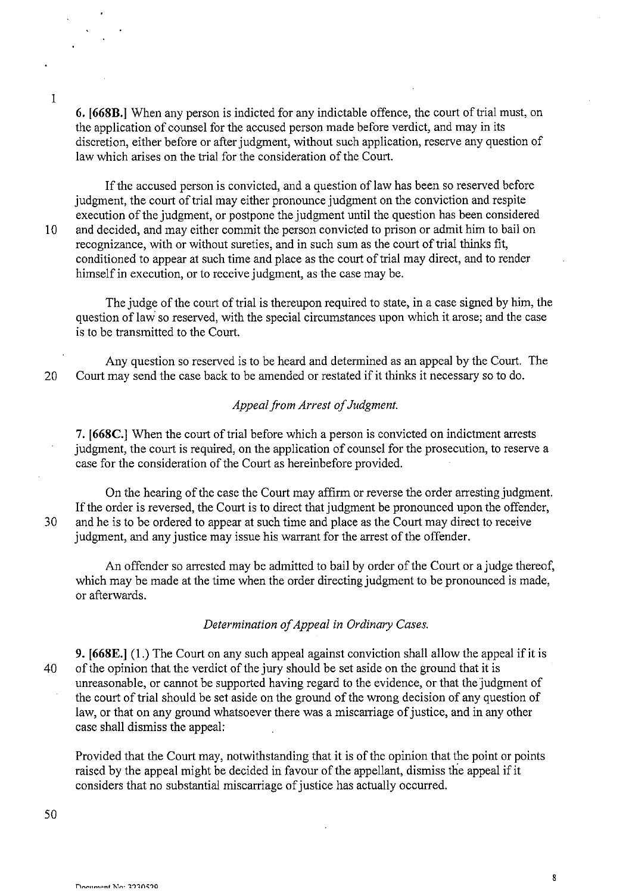6. [66SB.] When any person is indicted for any indictable offence, the court of trial must, on the application of counsel for the accused person made before verdict, and may in its discretion, either before or after judgment, without such application, reserve any question of law which arises on the trial for the consideration of the Court.

If the accused person is convicted, and a question of law has been so reserved before judgment, the court of trial may either pronounce judgment on the conviction and respite execution of the judgment, or postpone the judgment until the question has been considered 10 and decided, and may either commit the person convicted to prison or admit him to bail on recognizance, with or without sureties, and in such sum as the court of trial thinks fit, conditioned to appear at such time and place as the court of trial may direct, and to render himself in execution, or to receive judgment, as the case may be.

The judge of the court of trial is thereupon required to state, in a case signed by him, the question of law so reserved, with the special circumstances upon which it arose; and the case is to be transmitted to the Court.

Any question so reserved is to be heard and determined as an appeal by the Court. The 20 Court may send the case back to be amended or restated if it thinks it necessary so to do.

# *Appeal from Arrest of Judgment.*

7. [66SC.] When the court of trial before which a person is convicted on indictment arrests judgment, the court is required, on the application of counsel for the prosecution, to reserve a case for the consideration of the Court as hereinbefore provided.

On the hearing of the case the Court may affirm or reverse the order arresting judgment. If the order is reversed, the Court is to direct that judgment be pronounced upon the offender, 30 and he is to be ordered to appear at such time and place as the Court may direct to receive judgment, and any justice may issue his warrant for the arrest of the offender.

An offender so arrested may be admitted to bail by order of the Court or a judge thereof, which may be made at the time when the order directing judgment to be pronounced is made, or afterwards.

## *Determination of Appeal in Ordinary Cases.*

9. [668E.] (1.) The Court on any such appeal against conviction shall allow the appeal if it is 40 of the opinion that the verdict of the jury should be set aside on the ground that it is unreasonable, or carmot be supported having regard to the evidence, or that the judgment of the court of trial should be set aside on the ground of the wrong decision of any question of law, or that on any ground whatsoever there was a miscarriage of justice, and in any other case shall dismiss the appeal:

Provided that the Court may, notwithstanding that it is of the opinion that the point or points raised by the appeal might be decided in favour of the appellant, dismiss the appeal if it considers that no substantial miscarriage of justice has actually occurred.

1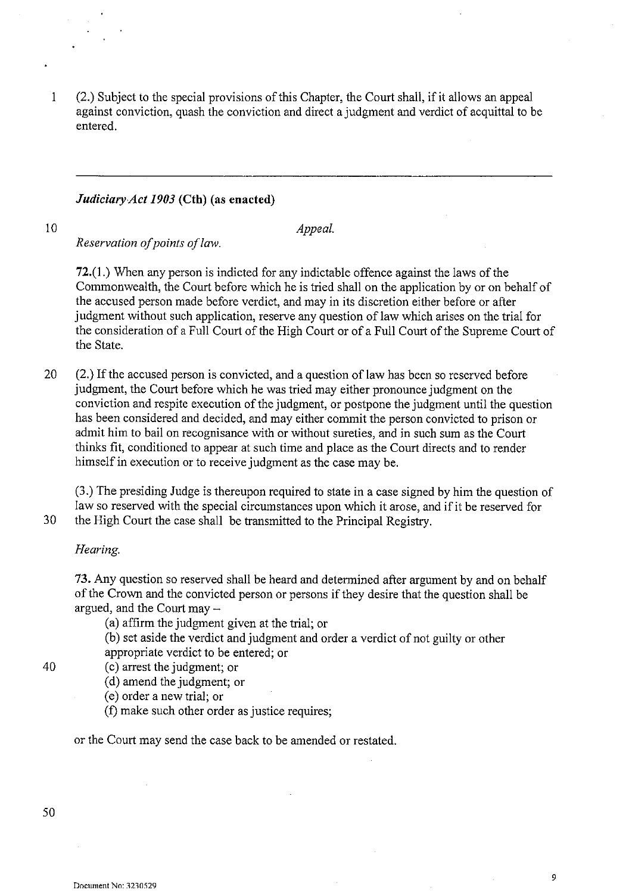$\mathbf{1}$ (2.) Subject to the special provisions of this Chapter, the Court shall, if it allows an appeal against conviction, quash the conviction and direct a judgment and verdict of acquittal to be entered.

# *JudiciaryAct 1903* (Cth) (as enacted)

10

*Appeal.* 

*Reservation a/points a/law.* 

72.(1.) When any person is indicted for any indictable offence against the laws of the Commonwealth, the Court before which he is tried shall on the application by or on behalf of the accused person made before verdict, and may in its discretion either before or after judgment without such application, reserve any question of law which arises on the trial for the consideration of a Full Court of the High Court or of a Full Court of the Supreme Court of the State.

20 (2.) If the accused person is convicted, and a question of law has been so reserved before judgment, the Court before which he was tried may either pronounce judgment on the conviction and respite execution of the judgment, or postpone the judgment until the question has been considered and decided, and may either commit the person convicted to prison or admit him to bail on recognisance with or without sureties, and in such sum as the Court thinks fit, conditioned to appear at such time and place as the Court directs and to render himself in execution or to receive judgment as the case may be.

(3.) The presiding Judge is thereupon required to state in a case signed by him the question of law so reserved with the special circumstances upon which it arose, and if it be reserved for

30 the High Court the case shall be transmitted to the Principal Registry.

# *Hearing.*

73. Any question so reserved shall be heard and determined after argument by and on behalf of the Crown and the convicted person or persons if they desire that the question shall be argued, and the Court may -

(a) affirm the judgment given at the trial; or

(b) set aside the verdict and judgment and order a verdict of not guilty or other

appropriate verdict to be entered; or

40 (c) arrest the judgment; or (d) amend the judgment; or

(e) order a new trial; or

(f) make such other order as justice requires;

or the Court may send the case back to be amended or restated.